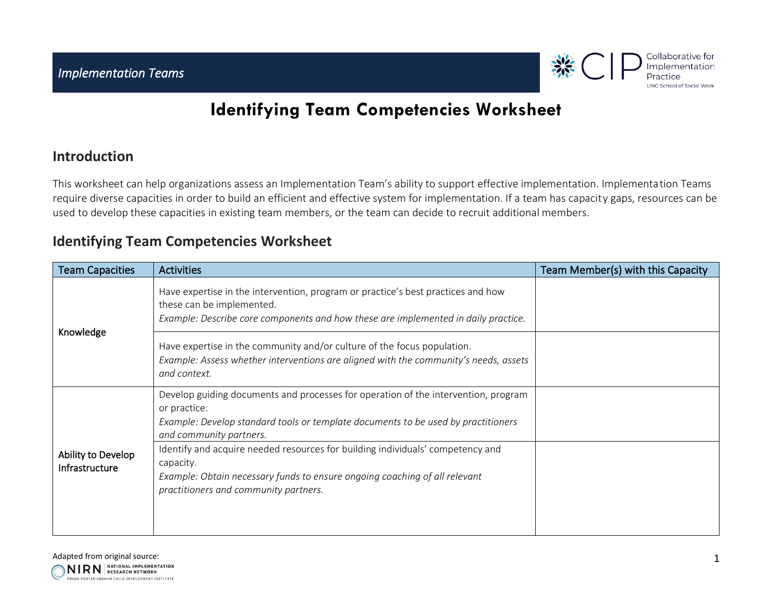

## **Identifying Team Competencies Worksheet**

## **Introduction**

This worksheet can help organizations assess an Implementation Team's ability to support effective implementation. Implementation Teams require diverse capacities in order to build an efficient and effective system for implementation. If a team has capacity gaps, resources can be used to develop these capacities in existing team members, or the team can decide to recruit additional members.

## **Identifying Team Competencies Worksheet**

| <b>Team Capacities</b>               | <b>Activities</b>                                                                                                                                                                                                  | Team Member(s) with this Capacity |
|--------------------------------------|--------------------------------------------------------------------------------------------------------------------------------------------------------------------------------------------------------------------|-----------------------------------|
| Knowledge                            | Have expertise in the intervention, program or practice's best practices and how<br>these can be implemented.<br>Example: Describe core components and how these are implemented in daily practice.                |                                   |
|                                      | Have expertise in the community and/or culture of the focus population.<br>Example: Assess whether interventions are aligned with the community's needs, assets<br>and context.                                    |                                   |
|                                      | Develop guiding documents and processes for operation of the intervention, program<br>or practice.<br>Example: Develop standard tools or template documents to be used by practitioners<br>and community partners. |                                   |
| Ability to Develop<br>Infrastructure | Identify and acquire needed resources for building individuals' competency and<br>capacity.<br>Example: Obtain necessary funds to ensure ongoing coaching of all relevant<br>practitioners and community partners. |                                   |